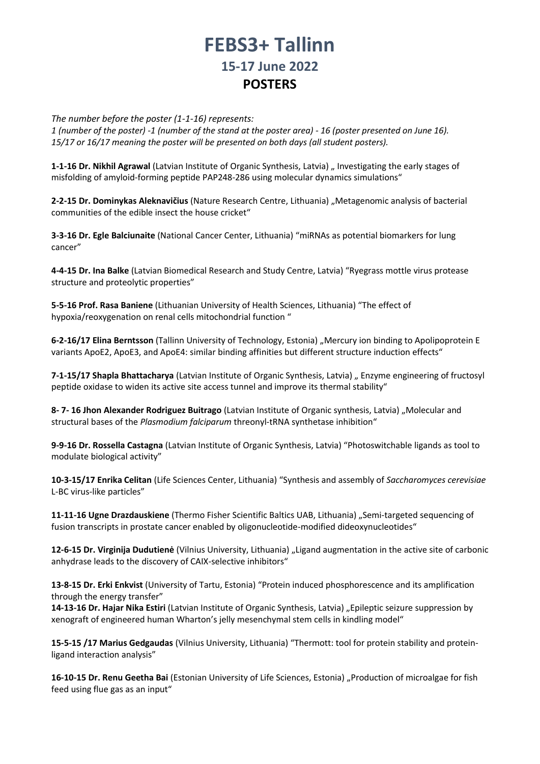## **FEBS3+ Tallinn 15-17 June 2022 POSTERS**

*The number before the poster (1-1-16) represents:* 

*1 (number of the poster) -1 (number of the stand at the poster area) - 16 (poster presented on June 16). 15/17 or 16/17 meaning the poster will be presented on both days (all student posters).* 

**1-1-16 Dr. Nikhil Agrawal** (Latvian Institute of Organic Synthesis, Latvia) " Investigating the early stages of misfolding of amyloid-forming peptide PAP248-286 using molecular dynamics simulations"

**2-2-15 Dr. Dominykas Aleknavičius** (Nature Research Centre, Lithuania) "Metagenomic analysis of bacterial communities of the edible insect the house cricket"

**3-3-16 Dr. Egle Balciunaite** (National Cancer Center, Lithuania) "miRNAs as potential biomarkers for lung cancer"

**4-4-15 Dr. Ina Balke** (Latvian Biomedical Research and Study Centre, Latvia) "Ryegrass mottle virus protease structure and proteolytic properties"

**5-5-16 Prof. Rasa Baniene** (Lithuanian University of Health Sciences, Lithuania) "The effect of hypoxia/reoxygenation on renal cells mitochondrial function "

**6-2-16/17 Elina Berntsson** (Tallinn University of Technology, Estonia) "Mercury ion binding to Apolipoprotein E variants ApoE2, ApoE3, and ApoE4: similar binding affinities but different structure induction effects"

**7-1-15/17 Shapla Bhattacharya** (Latvian Institute of Organic Synthesis, Latvia) "Enzyme engineering of fructosyl peptide oxidase to widen its active site access tunnel and improve its thermal stability"

**8- 7- 16 Jhon Alexander Rodriguez Buitrago** (Latvian Institute of Organic synthesis, Latvia) "Molecular and structural bases of the *Plasmodium falciparum* threonyl-tRNA synthetase inhibition"

**9-9-16 Dr. Rossella Castagna** (Latvian Institute of Organic Synthesis, Latvia) "Photoswitchable ligands as tool to modulate biological activity"

**10-3-15/17 Enrika Celitan** (Life Sciences Center, Lithuania) "Synthesis and assembly of *Saccharomyces cerevisiae*  L-BC virus-like particles"

**11-11-16 Ugne Drazdauskiene** (Thermo Fisher Scientific Baltics UAB, Lithuania) "Semi-targeted sequencing of fusion transcripts in prostate cancer enabled by oligonucleotide-modified dideoxynucleotides"

**12-6-15 Dr. Virginija Dudutienė** (Vilnius University, Lithuania) "Ligand augmentation in the active site of carbonic anhydrase leads to the discovery of CAIX-selective inhibitors"

**13-8-15 Dr. Erki Enkvist** (University of Tartu, Estonia) "Protein induced phosphorescence and its amplification through the energy transfer"

**14-13-16 Dr. Hajar Nika Estiri** (Latvian Institute of Organic Synthesis, Latvia) "Epileptic seizure suppression by xenograft of engineered human Wharton's jelly mesenchymal stem cells in kindling model"

**15-5-15 /17 Marius Gedgaudas** (Vilnius University, Lithuania) "Thermott: tool for protein stability and proteinligand interaction analysis"

**16-10-15 Dr. Renu Geetha Bai** (Estonian University of Life Sciences, Estonia) "Production of microalgae for fish feed using flue gas as an input"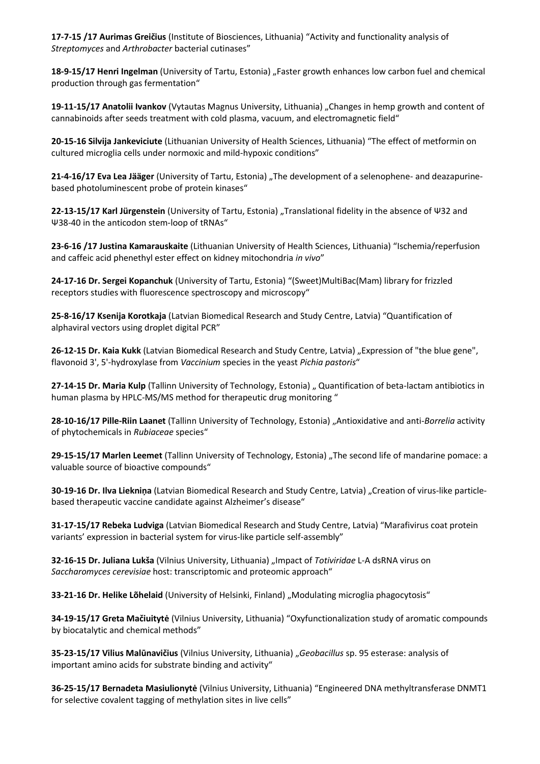**17-7-15 /17 Aurimas Greičius** (Institute of Biosciences, Lithuania) "Activity and functionality analysis of *Streptomyces* and *Arthrobacter* bacterial cutinases"

**18-9-15/17 Henri Ingelman** (University of Tartu, Estonia) "Faster growth enhances low carbon fuel and chemical production through gas fermentation"

**19-11-15/17 Anatolii Ivankov** (Vytautas Magnus University, Lithuania) "Changes in hemp growth and content of cannabinoids after seeds treatment with cold plasma, vacuum, and electromagnetic field"

**20-15-16 Silvija Jankeviciute** (Lithuanian University of Health Sciences, Lithuania) "The effect of metformin on cultured microglia cells under normoxic and mild-hypoxic conditions"

21-4-16/17 Eva Lea Jääger (University of Tartu, Estonia) "The development of a selenophene- and deazapurinebased photoluminescent probe of protein kinases"

**22-13-15/17 Karl Jürgenstein** (University of Tartu, Estonia) "Translational fidelity in the absence of Ψ32 and Ψ38-40 in the anticodon stem-loop of tRNAs"

**23-6-16 /17 Justina Kamarauskaite** (Lithuanian University of Health Sciences, Lithuania) "Ischemia/reperfusion and caffeic acid phenethyl ester effect on kidney mitochondria *in vivo*"

**24-17-16 Dr. Sergei Kopanchuk** (University of Tartu, Estonia) "(Sweet)MultiBac(Mam) library for frizzled receptors studies with fluorescence spectroscopy and microscopy"

**25-8-16/17 Ksenija Korotkaja** (Latvian Biomedical Research and Study Centre, Latvia) "Quantification of alphaviral vectors using droplet digital PCR"

**26-12-15 Dr. Kaia Kukk** (Latvian Biomedical Research and Study Centre, Latvia) "Expression of "the blue gene", flavonoid 3', 5'-hydroxylase from *Vaccinium* species in the yeast *Pichia pastoris*"

27-14-15 Dr. Maria Kulp (Tallinn University of Technology, Estonia) " Quantification of beta-lactam antibiotics in human plasma by HPLC-MS/MS method for therapeutic drug monitoring "

**28-10-16/17 Pille-Riin Laanet** (Tallinn University of Technology, Estonia) "Antioxidative and anti-*Borrelia* activity of phytochemicals in *Rubiaceae* species"

**29-15-15/17 Marlen Leemet** (Tallinn University of Technology, Estonia) "The second life of mandarine pomace: a valuable source of bioactive compounds"

**30-19-16 Dr. Ilva Liekniņa** (Latvian Biomedical Research and Study Centre, Latvia) "Creation of virus-like particlebased therapeutic vaccine candidate against Alzheimer's disease"

**31-17-15/17 Rebeka Ludviga** (Latvian Biomedical Research and Study Centre, Latvia) "Marafivirus coat protein variants' expression in bacterial system for virus-like particle self-assembly"

**32-16-15 Dr. Juliana Lukša** (Vilnius University, Lithuania) "Impact of *Totiviridae* L-A dsRNA virus on *Saccharomyces cerevisiae* host: transcriptomic and proteomic approach"

**33-21-16 Dr. Helike Lõhelaid** (University of Helsinki, Finland) "Modulating microglia phagocytosis"

**34-19-15/17 Greta Mačiuitytė** (Vilnius University, Lithuania) "Oxyfunctionalization study of aromatic compounds by biocatalytic and chemical methods"

**35-23-15/17 Vilius Malūnavičius** (Vilnius University, Lithuania) "*Geobacillus* sp. 95 esterase: analysis of important amino acids for substrate binding and activity"

**36-25-15/17 Bernadeta Masiulionytė** (Vilnius University, Lithuania) "Engineered DNA methyltransferase DNMT1 for selective covalent tagging of methylation sites in live cells"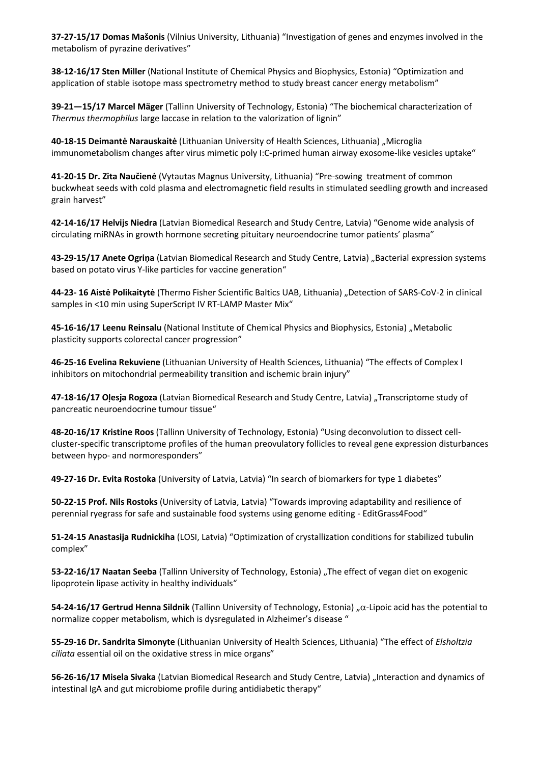**37-27-15/17 Domas Mašonis** (Vilnius University, Lithuania) "Investigation of genes and enzymes involved in the metabolism of pyrazine derivatives"

**38-12-16/17 Sten Miller** (National Institute of Chemical Physics and Biophysics, Estonia) "Optimization and application of stable isotope mass spectrometry method to study breast cancer energy metabolism"

**39-21—15/17 Marcel Mäger** (Tallinn University of Technology, Estonia) "The biochemical characterization of *Thermus thermophilus* large laccase in relation to the valorization of lignin"

**40-18-15 Deimantė Narauskaitė** (Lithuanian University of Health Sciences, Lithuania) "Microglia immunometabolism changes after virus mimetic poly I:C-primed human airway exosome-like vesicles uptake"

**41-20-15 Dr. Zita Naučienė** (Vytautas Magnus University, Lithuania) "Pre-sowing treatment of common buckwheat seeds with cold plasma and electromagnetic field results in stimulated seedling growth and increased grain harvest"

**42-14-16/17 Helvijs Niedra** (Latvian Biomedical Research and Study Centre, Latvia) "Genome wide analysis of circulating miRNAs in growth hormone secreting pituitary neuroendocrine tumor patients' plasma"

43-29-15/17 Anete Ogriņa (Latvian Biomedical Research and Study Centre, Latvia) "Bacterial expression systems based on potato virus Y-like particles for vaccine generation"

**44-23- 16 Aistė Polikaitytė** (Thermo Fisher Scientific Baltics UAB, Lithuania) "Detection of SARS-CoV-2 in clinical samples in <10 min using SuperScript IV RT-LAMP Master Mix"

**45-16-16/17 Leenu Reinsalu** (National Institute of Chemical Physics and Biophysics, Estonia) "Metabolic plasticity supports colorectal cancer progression"

**46-25-16 Evelina Rekuviene** (Lithuanian University of Health Sciences, Lithuania) "The effects of Complex I inhibitors on mitochondrial permeability transition and ischemic brain injury"

**47-18-16/17 Oļesja Rogoza** (Latvian Biomedical Research and Study Centre, Latvia) "Transcriptome study of pancreatic neuroendocrine tumour tissue"

**48-20-16/17 Kristine Roos** (Tallinn University of Technology, Estonia) "Using deconvolution to dissect cellcluster-specific transcriptome profiles of the human preovulatory follicles to reveal gene expression disturbances between hypo- and normoresponders"

**49-27-16 Dr. Evita Rostoka** (University of Latvia, Latvia) "In search of biomarkers for type 1 diabetes"

**50-22-15 Prof. Nils Rostoks** (University of Latvia, Latvia) "Towards improving adaptability and resilience of perennial ryegrass for safe and sustainable food systems using genome editing - EditGrass4Food"

**51-24-15 Anastasija Rudnickiha** (LOSI, Latvia) "Optimization of crystallization conditions for stabilized tubulin complex"

**53-22-16/17 Naatan Seeba** (Tallinn University of Technology, Estonia) "The effect of vegan diet on exogenic lipoprotein lipase activity in healthy individuals"

**54-24-16/17 Gertrud Henna Sildnik** (Tallinn University of Technology, Estonia) "α-Lipoic acid has the potential to normalize copper metabolism, which is dysregulated in Alzheimer's disease "

**55-29-16 Dr. Sandrita Simonyte** (Lithuanian University of Health Sciences, Lithuania) "The effect of *Elsholtzia ciliata* essential oil on the oxidative stress in mice organs"

**56-26-16/17 Misela Sivaka** (Latvian Biomedical Research and Study Centre, Latvia) "Interaction and dynamics of intestinal IgA and gut microbiome profile during antidiabetic therapy"